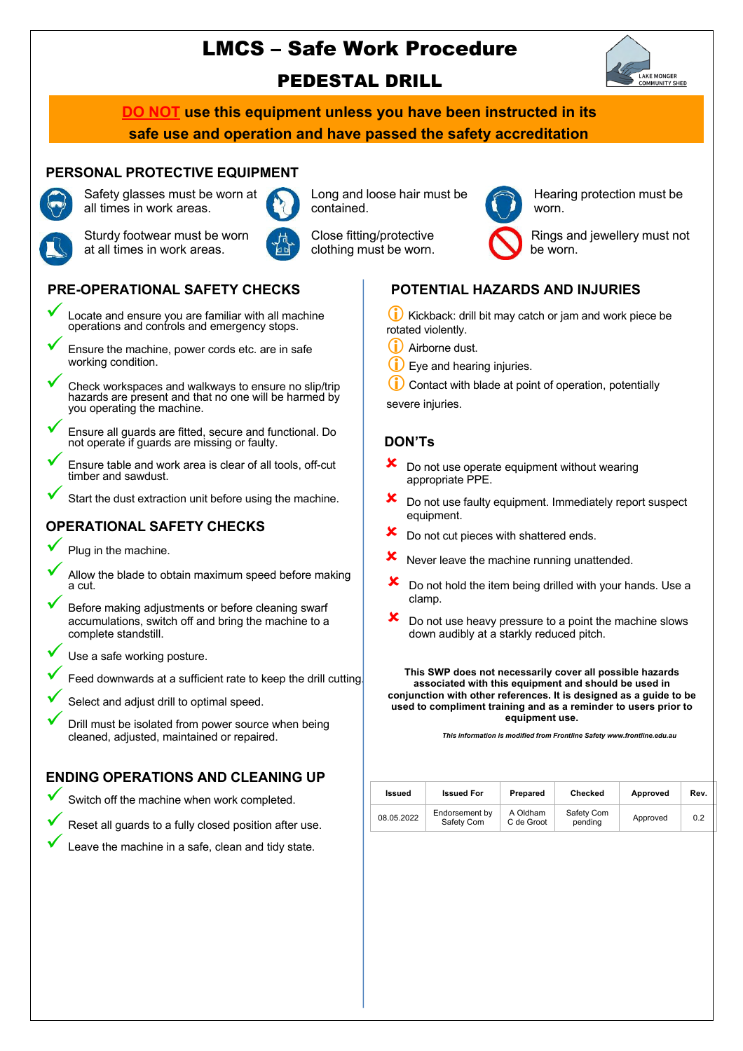# LMCS – Safe Work Procedure



PEDESTAL DRILL

**DO NOT use this equipment unless you have been instructed in its safe use and operation and have passed the safety accreditation** 

# **PERSONAL PROTECTIVE EQUIPMENT** Safety glasses must be worn at



all times in work areas.



Long and loose hair must be contained.



Hearing protection must be worn.

Sturdy footwear must be worn at all times in work areas.



Close fitting/protective clothing must be worn.

Rings and jewellery must not be worn.

# **PRE-OPERATIONAL SAFETY CHECKS**

- ü Locate and ensure you are familiar with all machine operations and controls and emergency stops.
	- Ensure the machine, power cords etc. are in safe working condition.
	- Check workspaces and walkways to ensure no slip/trip hazards are present and that no one will be harmed by you operating the machine.
	- ü Ensure all guards are fitted, secure and functional. Do not operate if guards are missing or faulty.
- Ensure table and work area is clear of all tools, off-cut timber and sawdust.
- Start the dust extraction unit before using the machine.

# **OPERATIONAL SAFETY CHECKS**

Plug in the machine.

- Allow the blade to obtain maximum speed before making a cut.
- Before making adjustments or before cleaning swarf accumulations, switch off and bring the machine to a complete standstill.
- Use a safe working posture.
- Feed downwards at a sufficient rate to keep the drill cutting.
- Select and adjust drill to optimal speed.
- Drill must be isolated from power source when being cleaned, adjusted, maintained or repaired.

# **ENDING OPERATIONS AND CLEANING UP**

Switch off the machine when work completed.



Leave the machine in a safe, clean and tidy state.



Kickback: drill bit may catch or jam and work piece be rotated violently.

- $(i)$  Airborne dust.
- Eye and hearing injuries.

Contact with blade at point of operation, potentially severe injuries.

#### **DON'Ts**

- Do not use operate equipment without wearing appropriate PPE.
- $\mathbf{\times}$  Do not use faulty equipment. Immediately report suspect equipment.
- Do not cut pieces with shattered ends.
- $x$  Never leave the machine running unattended.
- $\boldsymbol{\times}$  Do not hold the item being drilled with your hands. Use a clamp.
- $\boldsymbol{\times}$  Do not use heavy pressure to a point the machine slows down audibly at a starkly reduced pitch.

**This SWP does not necessarily cover all possible hazards associated with this equipment and should be used in conjunction with other references. It is designed as a guide to be used to compliment training and as a reminder to users prior to equipment use.**

*This information is modified from Frontline Safety www.frontline.edu.au*

|  | Issued     | <b>Issued For</b>            | Prepared               | Checked               | Approved | Rev. |
|--|------------|------------------------------|------------------------|-----------------------|----------|------|
|  | 08.05.2022 | Endorsement by<br>Safety Com | A Oldham<br>C de Groot | Safety Com<br>pending | Approved | 0.2  |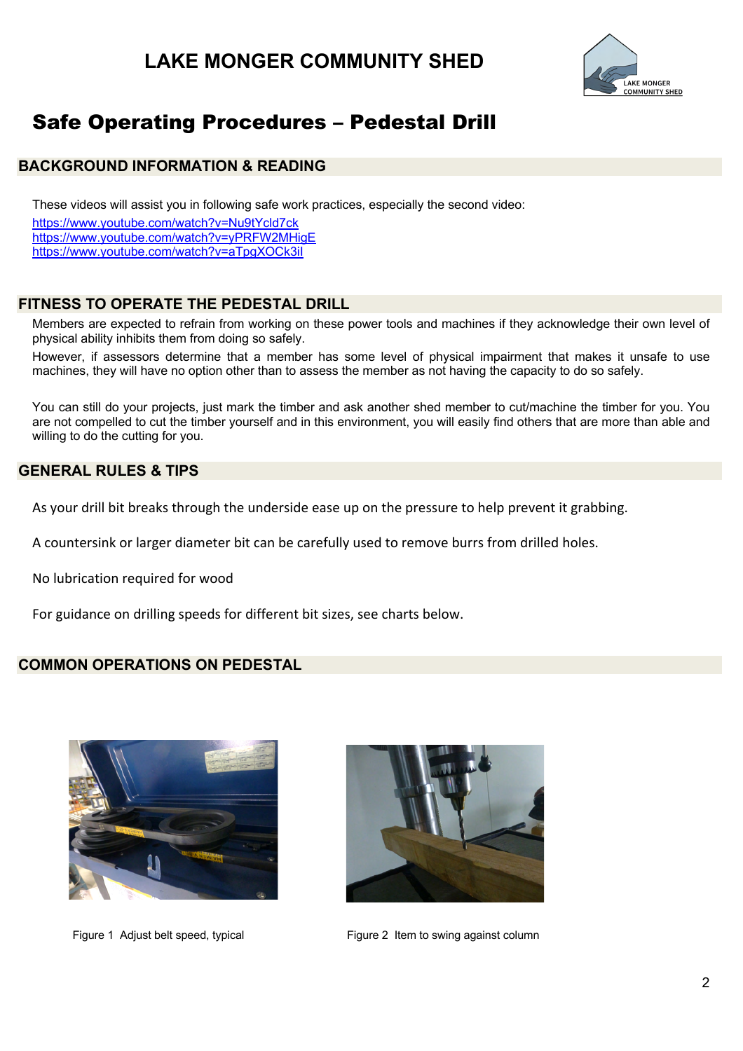

# Safe Operating Procedures – Pedestal Drill

#### **BACKGROUND INFORMATION & READING**

These videos will assist you in following safe work practices, especially the second video: https://www.youtube.com/watch?v=Nu9tYcld7ck https://www.youtube.com/watch?v=yPRFW2MHigE https://www.youtube.com/watch?v=aTpgXOCk3iI

### **FITNESS TO OPERATE THE PEDESTAL DRILL**

Members are expected to refrain from working on these power tools and machines if they acknowledge their own level of physical ability inhibits them from doing so safely.

However, if assessors determine that a member has some level of physical impairment that makes it unsafe to use machines, they will have no option other than to assess the member as not having the capacity to do so safely.

You can still do your projects, just mark the timber and ask another shed member to cut/machine the timber for you. You are not compelled to cut the timber yourself and in this environment, you will easily find others that are more than able and willing to do the cutting for you.

#### **GENERAL RULES & TIPS**

As your drill bit breaks through the underside ease up on the pressure to help prevent it grabbing.

A countersink or larger diameter bit can be carefully used to remove burrs from drilled holes.

No lubrication required for wood

For guidance on drilling speeds for different bit sizes, see charts below.

### **COMMON OPERATIONS ON PEDESTAL**





Figure 1 Adjust belt speed, typical Figure 2 Item to swing against column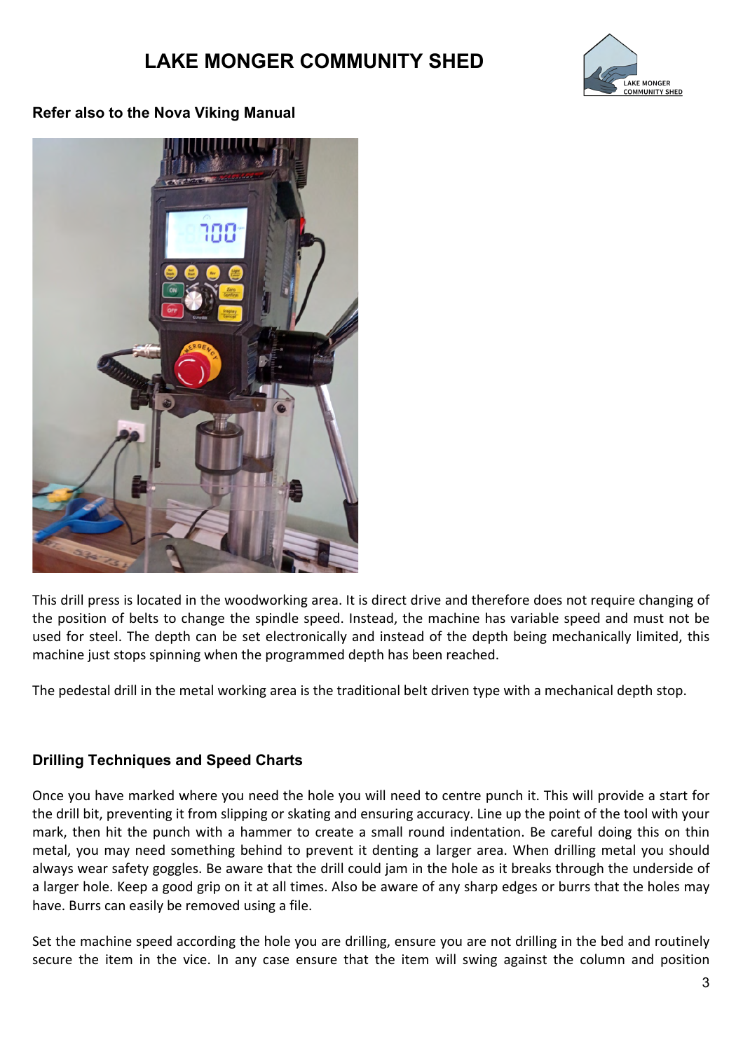

# **Refer also to the Nova Viking Manual**



This drill press is located in the woodworking area. It is direct drive and therefore does not require changing of the position of belts to change the spindle speed. Instead, the machine has variable speed and must not be used for steel. The depth can be set electronically and instead of the depth being mechanically limited, this machine just stops spinning when the programmed depth has been reached.

The pedestal drill in the metal working area is the traditional belt driven type with a mechanical depth stop.

# **Drilling Techniques and Speed Charts**

Once you have marked where you need the hole you will need to centre punch it. This will provide a start for the drill bit, preventing it from slipping or skating and ensuring accuracy. Line up the point of the tool with your mark, then hit the punch with a hammer to create a small round indentation. Be careful doing this on thin metal, you may need something behind to prevent it denting a larger area. When drilling metal you should always wear safety goggles. Be aware that the drill could jam in the hole as it breaks through the underside of a larger hole. Keep a good grip on it at all times. Also be aware of any sharp edges or burrs that the holes may have. Burrs can easily be removed using a file.

Set the machine speed according the hole you are drilling, ensure you are not drilling in the bed and routinely secure the item in the vice. In any case ensure that the item will swing against the column and position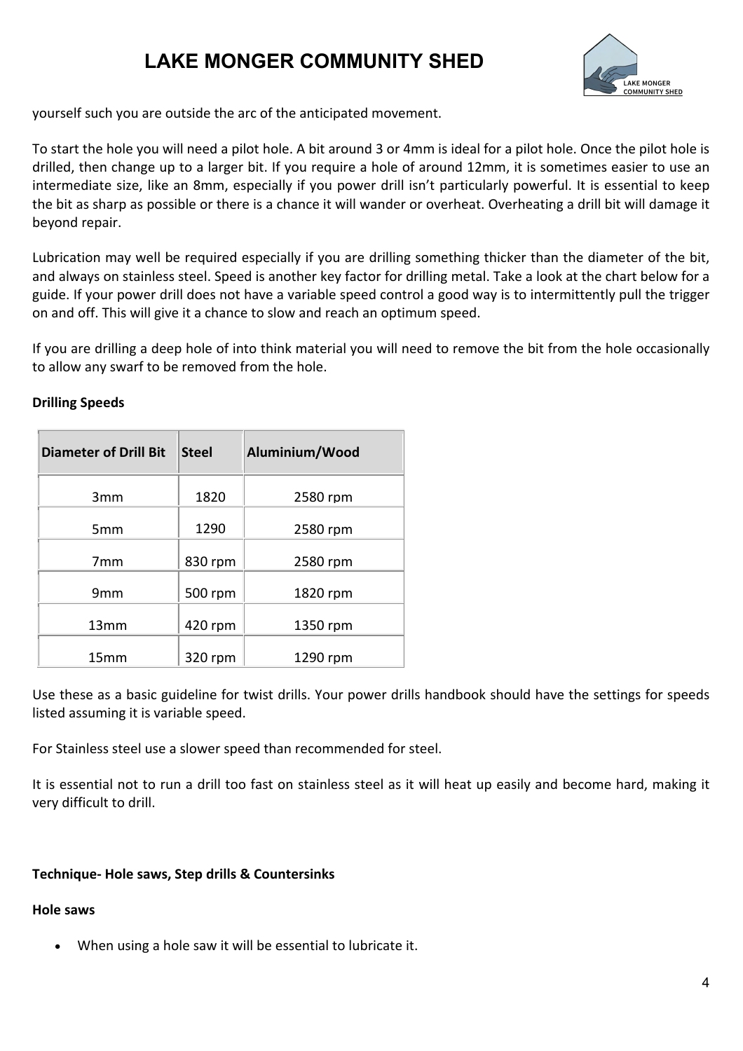

yourself such you are outside the arc of the anticipated movement.

To start the hole you will need a pilot hole. A bit around 3 or 4mm is ideal for a pilot hole. Once the pilot hole is drilled, then change up to a larger bit. If you require a hole of around 12mm, it is sometimes easier to use an intermediate size, like an 8mm, especially if you power drill isn't particularly powerful. It is essential to keep the bit as sharp as possible or there is a chance it will wander or overheat. Overheating a drill bit will damage it beyond repair.

Lubrication may well be required especially if you are drilling something thicker than the diameter of the bit, and always on stainless steel. Speed is another key factor for drilling metal. Take a look at the chart below for a guide. If your power drill does not have a variable speed control a good way is to intermittently pull the trigger on and off. This will give it a chance to slow and reach an optimum speed.

If you are drilling a deep hole of into think material you will need to remove the bit from the hole occasionally to allow any swarf to be removed from the hole.

| <b>Diameter of Drill Bit</b> | <b>Steel</b> | Aluminium/Wood |
|------------------------------|--------------|----------------|
| 3mm                          | 1820         | 2580 rpm       |
| 5mm                          | 1290         | 2580 rpm       |
| 7 <sub>mm</sub>              | 830 rpm      | 2580 rpm       |
| 9 <sub>mm</sub>              | 500 rpm      | 1820 rpm       |
| 13mm                         | 420 rpm      | 1350 rpm       |
| 15 <sub>mm</sub>             | 320 rpm      | 1290 rpm       |

### **Drilling Speeds**

Use these as a basic guideline for twist drills. Your power drills handbook should have the settings for speeds listed assuming it is variable speed.

For Stainless steel use a slower speed than recommended for steel.

It is essential not to run a drill too fast on stainless steel as it will heat up easily and become hard, making it very difficult to drill.

### **Technique- Hole saws, Step drills & Countersinks**

#### **Hole saws**

• When using a hole saw it will be essential to lubricate it.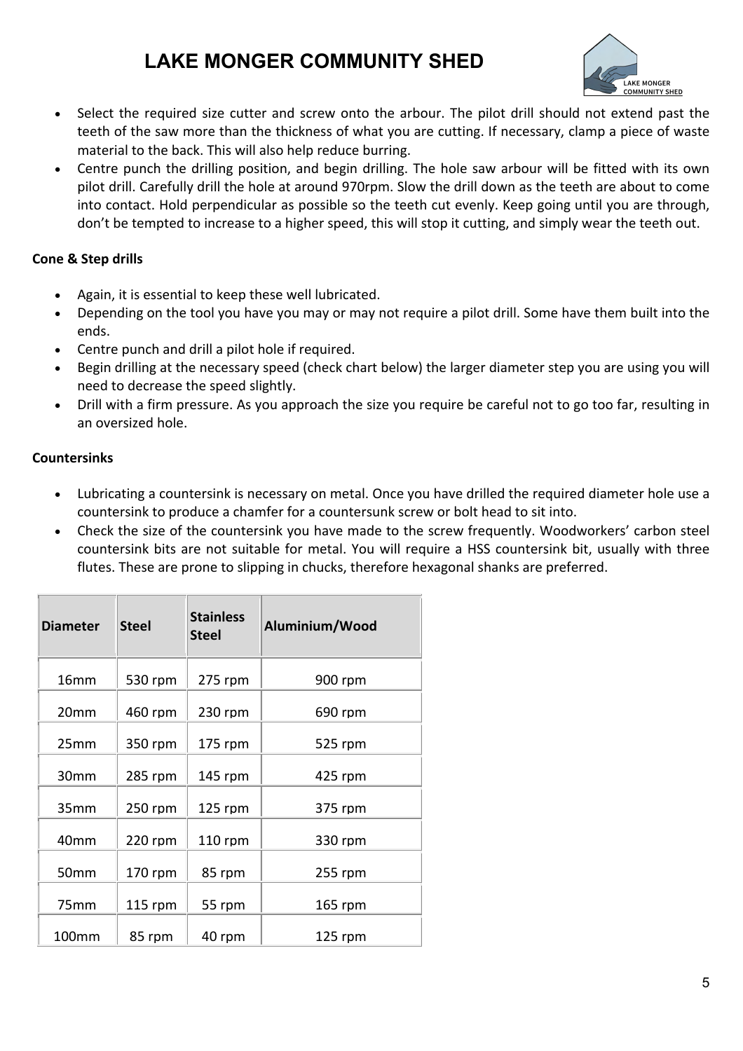

- Select the required size cutter and screw onto the arbour. The pilot drill should not extend past the teeth of the saw more than the thickness of what you are cutting. If necessary, clamp a piece of waste material to the back. This will also help reduce burring.
- Centre punch the drilling position, and begin drilling. The hole saw arbour will be fitted with its own pilot drill. Carefully drill the hole at around 970rpm. Slow the drill down as the teeth are about to come into contact. Hold perpendicular as possible so the teeth cut evenly. Keep going until you are through, don't be tempted to increase to a higher speed, this will stop it cutting, and simply wear the teeth out.

### **Cone & Step drills**

- Again, it is essential to keep these well lubricated.
- Depending on the tool you have you may or may not require a pilot drill. Some have them built into the ends.
- Centre punch and drill a pilot hole if required.
- Begin drilling at the necessary speed (check chart below) the larger diameter step you are using you will need to decrease the speed slightly.
- Drill with a firm pressure. As you approach the size you require be careful not to go too far, resulting in an oversized hole.

#### **Countersinks**

- Lubricating a countersink is necessary on metal. Once you have drilled the required diameter hole use a countersink to produce a chamfer for a countersunk screw or bolt head to sit into.
- Check the size of the countersink you have made to the screw frequently. Woodworkers' carbon steel countersink bits are not suitable for metal. You will require a HSS countersink bit, usually with three flutes. These are prone to slipping in chucks, therefore hexagonal shanks are preferred.

| <b>Diameter</b>   | <b>Steel</b> | <b>Stainless</b><br><b>Steel</b> | Aluminium/Wood |
|-------------------|--------------|----------------------------------|----------------|
| 16 <sub>mm</sub>  | 530 rpm      | $275$ rpm                        | 900 rpm        |
| 20 <sub>mm</sub>  | 460 rpm      | 230 rpm                          | 690 rpm        |
| 25mm              | 350 rpm      | 175 rpm                          | 525 rpm        |
| 30mm              | 285 rpm      | $145$ rpm                        | $425$ rpm      |
| 35mm              | 250 rpm      | $125$ rpm                        | 375 rpm        |
| 40 <sub>mm</sub>  | 220 rpm      | 110 rpm                          | 330 rpm        |
| 50mm              | 170 rpm      | 85 rpm                           | 255 rpm        |
| 75 <sub>mm</sub>  | $115$ rpm    | 55 rpm                           | $165$ rpm      |
| 100 <sub>mm</sub> | 85 rpm       | 40 rpm                           | $125$ rpm      |